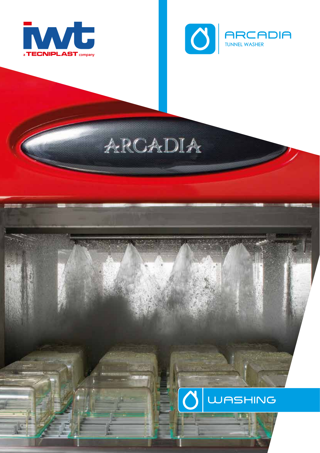



# ARCADIA